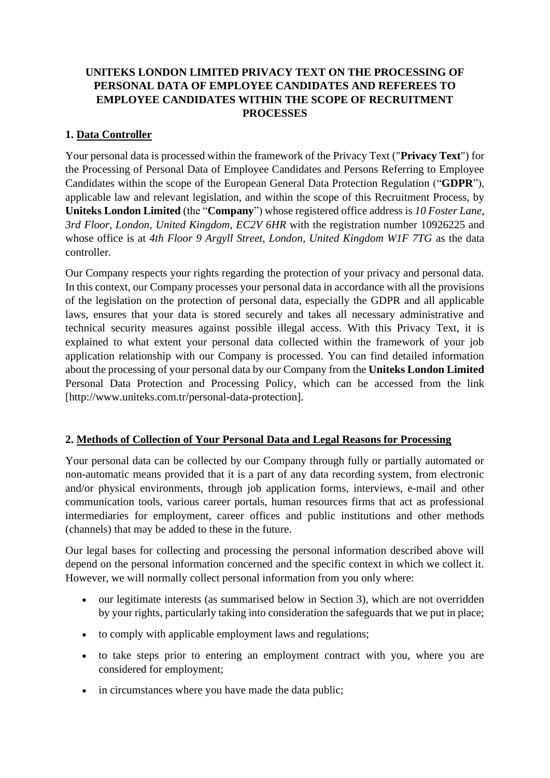# **UNITEKS LONDON LIMITED PRIVACY TEXT ON THE PROCESSING OF PERSONAL DATA OF EMPLOYEE CANDIDATES AND REFEREES TO EMPLOYEE CANDIDATES WITHIN THE SCOPE OF RECRUITMENT PROCESSES**

## **1. Data Controller**

Your personal data is processed within the framework of the Privacy Text ("**Privacy Text**") for the Processing of Personal Data of Employee Candidates and Persons Referring to Employee Candidates within the scope of the European General Data Protection Regulation ("**GDPR**"), applicable law and relevant legislation, and within the scope of this Recruitment Process, by **Uniteks London Limited** (the "**Company**") whose registered office address is *10 Foster Lane, 3rd Floor, London, United Kingdom, EC2V 6HR* with the registration number 10926225 and whose office is at *4th Floor 9 Argyll Street, London, United Kingdom W1F 7TG* as the data controller.

Our Company respects your rights regarding the protection of your privacy and personal data. In this context, our Company processes your personal data in accordance with all the provisions of the legislation on the protection of personal data, especially the GDPR and all applicable laws, ensures that your data is stored securely and takes all necessary administrative and technical security measures against possible illegal access. With this Privacy Text, it is explained to what extent your personal data collected within the framework of your job application relationship with our Company is processed. You can find detailed information about the processing of your personal data by our Company from the **Uniteks London Limited** Personal Data Protection and Processing Policy, which can be accessed from the link [http://www.uniteks.com.tr/personal-data-protection].

# **2. Methods of Collection of Your Personal Data and Legal Reasons for Processing**

Your personal data can be collected by our Company through fully or partially automated or non-automatic means provided that it is a part of any data recording system, from electronic and/or physical environments, through job application forms, interviews, e-mail and other communication tools, various career portals, human resources firms that act as professional intermediaries for employment, career offices and public institutions and other methods (channels) that may be added to these in the future.

Our legal bases for collecting and processing the personal information described above will depend on the personal information concerned and the specific context in which we collect it. However, we will normally collect personal information from you only where:

- our legitimate interests (as summarised below in Section 3), which are not overridden by your rights, particularly taking into consideration the safeguards that we put in place;
- to comply with applicable employment laws and regulations;
- to take steps prior to entering an employment contract with you, where you are considered for employment;
- in circumstances where you have made the data public;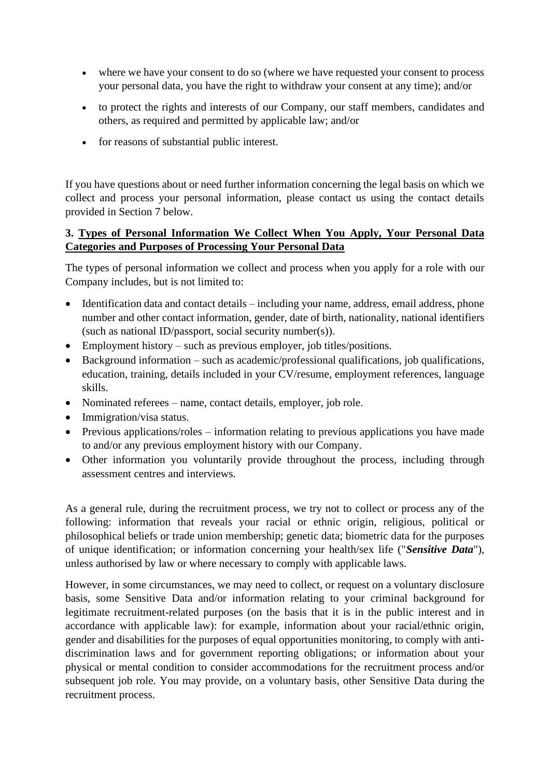- where we have your consent to do so (where we have requested your consent to process your personal data, you have the right to withdraw your consent at any time); and/or
- to protect the rights and interests of our Company, our staff members, candidates and others, as required and permitted by applicable law; and/or
- for reasons of substantial public interest.

If you have questions about or need further information concerning the legal basis on which we collect and process your personal information, please contact us using the contact details provided in Section 7 below.

### **3. Types of Personal Information We Collect When You Apply, Your Personal Data Categories and Purposes of Processing Your Personal Data**

The types of personal information we collect and process when you apply for a role with our Company includes, but is not limited to:

- Identification data and contact details including your name, address, email address, phone number and other contact information, gender, date of birth, nationality, national identifiers (such as national ID/passport, social security number(s)).
- Employment history such as previous employer, job titles/positions.
- Background information such as academic/professional qualifications, job qualifications, education, training, details included in your CV/resume, employment references, language skills.
- Nominated referees name, contact details, employer, job role.
- Immigration/visa status.
- Previous applications/roles information relating to previous applications you have made to and/or any previous employment history with our Company.
- Other information you voluntarily provide throughout the process, including through assessment centres and interviews.

As a general rule, during the recruitment process, we try not to collect or process any of the following: information that reveals your racial or ethnic origin, religious, political or philosophical beliefs or trade union membership; genetic data; biometric data for the purposes of unique identification; or information concerning your health/sex life ("*Sensitive Data*"), unless authorised by law or where necessary to comply with applicable laws.

However, in some circumstances, we may need to collect, or request on a voluntary disclosure basis, some Sensitive Data and/or information relating to your criminal background for legitimate recruitment-related purposes (on the basis that it is in the public interest and in accordance with applicable law): for example, information about your racial/ethnic origin, gender and disabilities for the purposes of equal opportunities monitoring, to comply with antidiscrimination laws and for government reporting obligations; or information about your physical or mental condition to consider accommodations for the recruitment process and/or subsequent job role. You may provide, on a voluntary basis, other Sensitive Data during the recruitment process.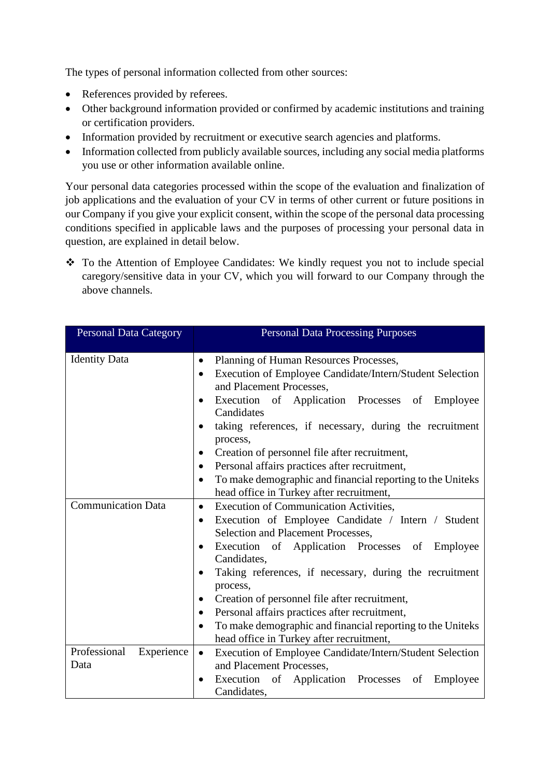The types of personal information collected from other sources:

- References provided by referees.
- Other background information provided or confirmed by academic institutions and training or certification providers.
- Information provided by recruitment or executive search agencies and platforms.
- Information collected from publicly available sources, including any social media platforms you use or other information available online.

Your personal data categories processed within the scope of the evaluation and finalization of job applications and the evaluation of your CV in terms of other current or future positions in our Company if you give your explicit consent, within the scope of the personal data processing conditions specified in applicable laws and the purposes of processing your personal data in question, are explained in detail below.

❖ To the Attention of Employee Candidates: We kindly request you not to include special caregory/sensitive data in your CV, which you will forward to our Company through the above channels.

| <b>Personal Data Category</b>      | <b>Personal Data Processing Purposes</b>                                                                                                                                                                                                                                                                                                                                                                                                                                                                                                                                                    |  |  |  |
|------------------------------------|---------------------------------------------------------------------------------------------------------------------------------------------------------------------------------------------------------------------------------------------------------------------------------------------------------------------------------------------------------------------------------------------------------------------------------------------------------------------------------------------------------------------------------------------------------------------------------------------|--|--|--|
| <b>Identity Data</b>               | Planning of Human Resources Processes,<br>$\bullet$<br>Execution of Employee Candidate/Intern/Student Selection<br>$\bullet$<br>and Placement Processes,<br>Execution of Application Processes of Employee<br>$\bullet$<br>Candidates<br>taking references, if necessary, during the recruitment<br>$\bullet$<br>process,<br>Creation of personnel file after recruitment,<br>$\bullet$<br>Personal affairs practices after recruitment,<br>$\bullet$                                                                                                                                       |  |  |  |
|                                    | To make demographic and financial reporting to the Uniteks<br>$\bullet$<br>head office in Turkey after recruitment,                                                                                                                                                                                                                                                                                                                                                                                                                                                                         |  |  |  |
| <b>Communication Data</b>          | <b>Execution of Communication Activities,</b><br>$\bullet$<br>Execution of Employee Candidate / Intern / Student<br>$\bullet$<br>Selection and Placement Processes,<br>Execution of Application Processes of<br>Employee<br>$\bullet$<br>Candidates,<br>Taking references, if necessary, during the recruitment<br>$\bullet$<br>process,<br>Creation of personnel file after recruitment,<br>$\bullet$<br>Personal affairs practices after recruitment,<br>$\bullet$<br>To make demographic and financial reporting to the Uniteks<br>$\bullet$<br>head office in Turkey after recruitment, |  |  |  |
| Professional<br>Experience<br>Data | Execution of Employee Candidate/Intern/Student Selection<br>$\bullet$<br>and Placement Processes,<br>Execution of Application Processes<br>of<br>Employee<br>$\bullet$<br>Candidates,                                                                                                                                                                                                                                                                                                                                                                                                       |  |  |  |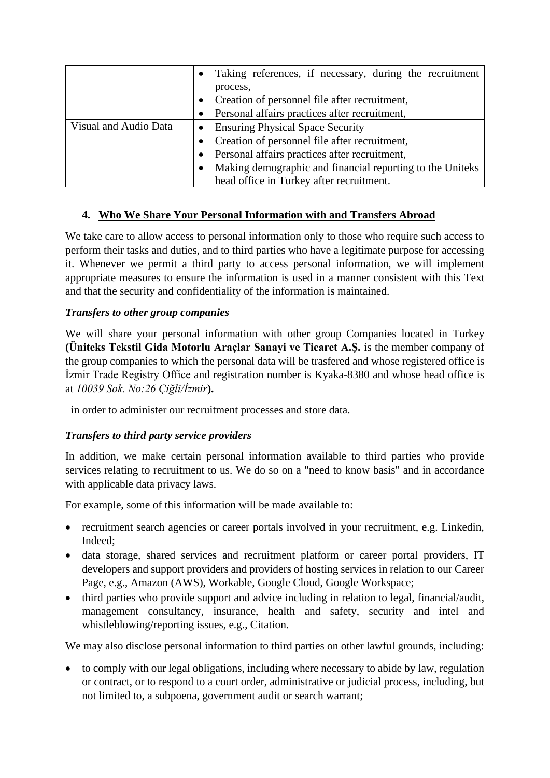|                       |                                               | Taking references, if necessary, during the recruitment   |  |  |
|-----------------------|-----------------------------------------------|-----------------------------------------------------------|--|--|
|                       |                                               | process,                                                  |  |  |
|                       |                                               | Creation of personnel file after recruitment,             |  |  |
|                       |                                               | Personal affairs practices after recruitment,             |  |  |
| Visual and Audio Data |                                               | <b>Ensuring Physical Space Security</b>                   |  |  |
|                       | Creation of personnel file after recruitment, |                                                           |  |  |
|                       |                                               | Personal affairs practices after recruitment,             |  |  |
|                       | $\bullet$                                     | Making demographic and financial reporting to the Uniteks |  |  |
|                       |                                               | head office in Turkey after recruitment.                  |  |  |

## **4. Who We Share Your Personal Information with and Transfers Abroad**

We take care to allow access to personal information only to those who require such access to perform their tasks and duties, and to third parties who have a legitimate purpose for accessing it. Whenever we permit a third party to access personal information, we will implement appropriate measures to ensure the information is used in a manner consistent with this Text and that the security and confidentiality of the information is maintained.

## *Transfers to other group companies*

We will share your personal information with other group Companies located in Turkey **(Üniteks Tekstil Gida Motorlu Araçlar Sanayi ve Ticaret A.Ş.** is the member company of the group companies to which the personal data will be trasfered and whose registered office is İzmir Trade Registry Office and registration number is Kyaka-8380 and whose head office is at *10039 Sok. No:26 Çiğli/İzmir***).**

in order to administer our recruitment processes and store data.

#### *Transfers to third party service providers*

In addition, we make certain personal information available to third parties who provide services relating to recruitment to us. We do so on a "need to know basis" and in accordance with applicable data privacy laws.

For example, some of this information will be made available to:

- recruitment search agencies or career portals involved in your recruitment, e.g. Linkedin, Indeed;
- data storage, shared services and recruitment platform or career portal providers, IT developers and support providers and providers of hosting services in relation to our Career Page, e.g., Amazon (AWS), Workable, Google Cloud, Google Workspace;
- third parties who provide support and advice including in relation to legal, financial/audit, management consultancy, insurance, health and safety, security and intel and whistleblowing/reporting issues, e.g., Citation.

We may also disclose personal information to third parties on other lawful grounds, including:

• to comply with our legal obligations, including where necessary to abide by law, regulation or contract, or to respond to a court order, administrative or judicial process, including, but not limited to, a subpoena, government audit or search warrant;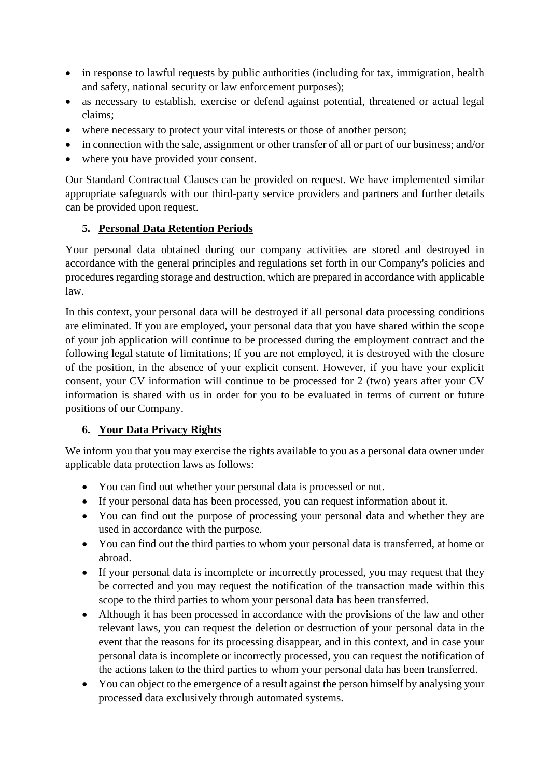- in response to lawful requests by public authorities (including for tax, immigration, health and safety, national security or law enforcement purposes);
- as necessary to establish, exercise or defend against potential, threatened or actual legal claims;
- where necessary to protect your vital interests or those of another person;
- in connection with the sale, assignment or other transfer of all or part of our business; and/or
- where you have provided your consent.

Our Standard Contractual Clauses can be provided on request. We have implemented similar appropriate safeguards with our third-party service providers and partners and further details can be provided upon request.

## **5. Personal Data Retention Periods**

Your personal data obtained during our company activities are stored and destroyed in accordance with the general principles and regulations set forth in our Company's policies and procedures regarding storage and destruction, which are prepared in accordance with applicable law.

In this context, your personal data will be destroyed if all personal data processing conditions are eliminated. If you are employed, your personal data that you have shared within the scope of your job application will continue to be processed during the employment contract and the following legal statute of limitations; If you are not employed, it is destroyed with the closure of the position, in the absence of your explicit consent. However, if you have your explicit consent, your CV information will continue to be processed for 2 (two) years after your CV information is shared with us in order for you to be evaluated in terms of current or future positions of our Company.

#### **6. Your Data Privacy Rights**

We inform you that you may exercise the rights available to you as a personal data owner under applicable data protection laws as follows:

- You can find out whether your personal data is processed or not.
- If your personal data has been processed, you can request information about it.
- You can find out the purpose of processing your personal data and whether they are used in accordance with the purpose.
- You can find out the third parties to whom your personal data is transferred, at home or abroad.
- If your personal data is incomplete or incorrectly processed, you may request that they be corrected and you may request the notification of the transaction made within this scope to the third parties to whom your personal data has been transferred.
- Although it has been processed in accordance with the provisions of the law and other relevant laws, you can request the deletion or destruction of your personal data in the event that the reasons for its processing disappear, and in this context, and in case your personal data is incomplete or incorrectly processed, you can request the notification of the actions taken to the third parties to whom your personal data has been transferred.
- You can object to the emergence of a result against the person himself by analysing your processed data exclusively through automated systems.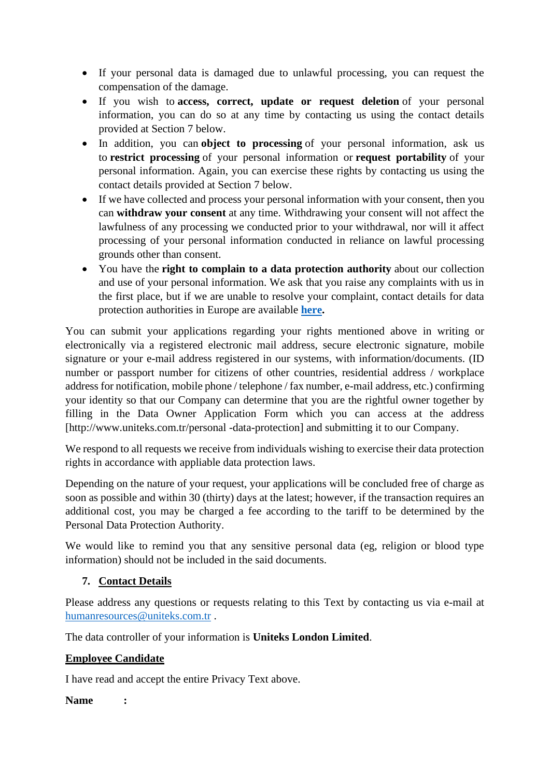- If your personal data is damaged due to unlawful processing, you can request the compensation of the damage.
- If you wish to **access, correct, update or request deletion** of your personal information, you can do so at any time by contacting us using the contact details provided at Section 7 below.
- In addition, you can **object to processing** of your personal information, ask us to **restrict processing** of your personal information or **request portability** of your personal information. Again, you can exercise these rights by contacting us using the contact details provided at Section 7 below.
- If we have collected and process your personal information with your consent, then you can **withdraw your consent** at any time. Withdrawing your consent will not affect the lawfulness of any processing we conducted prior to your withdrawal, nor will it affect processing of your personal information conducted in reliance on lawful processing grounds other than consent.
- You have the **right to complain to a data protection authority** about our collection and use of your personal information. We ask that you raise any complaints with us in the first place, but if we are unable to resolve your complaint, contact details for data protection authorities in Europe are available **[here.](https://ec.europa.eu/justice/article-29/structure/data-protection-authorities/index_en.htm)**

You can submit your applications regarding your rights mentioned above in writing or electronically via a registered electronic mail address, secure electronic signature, mobile signature or your e-mail address registered in our systems, with information/documents. (ID number or passport number for citizens of other countries, residential address / workplace address for notification, mobile phone / telephone / fax number, e-mail address, etc.) confirming your identity so that our Company can determine that you are the rightful owner together by filling in the Data Owner Application Form which you can access at the address [http://www.uniteks.com.tr/personal -data-protection] and submitting it to our Company.

We respond to all requests we receive from individuals wishing to exercise their data protection rights in accordance with appliable data protection laws.

Depending on the nature of your request, your applications will be concluded free of charge as soon as possible and within 30 (thirty) days at the latest; however, if the transaction requires an additional cost, you may be charged a fee according to the tariff to be determined by the Personal Data Protection Authority.

We would like to remind you that any sensitive personal data (eg, religion or blood type information) should not be included in the said documents.

# **7. Contact Details**

Please address any questions or requests relating to this Text by contacting us via e-mail at [humanresources@uniteks.com.tr](mailto:humanresources@uniteks.com.tr) .

The data controller of your information is **Uniteks London Limited**.

#### **Employee Candidate**

I have read and accept the entire Privacy Text above.

**Name :**